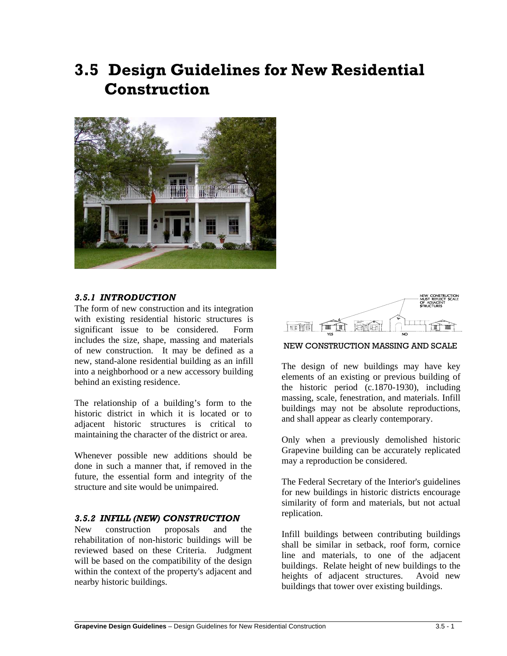# **3.5 Design Guidelines for New Residential Construction**



### *3.5.1 INTRODUCTION*

The form of new construction and its integration with existing residential historic structures is significant issue to be considered. Form includes the size, shape, massing and materials of new construction. It may be defined as a new, stand-alone residential building as an infill into a neighborhood or a new accessory building behind an existing residence.

The relationship of a building's form to the historic district in which it is located or to adjacent historic structures is critical to maintaining the character of the district or area.

Whenever possible new additions should be done in such a manner that, if removed in the future, the essential form and integrity of the structure and site would be unimpaired.

#### *3.5.2 INFILL (NEW) CONSTRUCTION*

New construction proposals and the rehabilitation of non-historic buildings will be reviewed based on these Criteria. Judgment will be based on the compatibility of the design within the context of the property's adjacent and nearby historic buildings.

 $\overline{a}$ 



NEW CONSTRUCTION MASSING AND SCALE

The design of new buildings may have key elements of an existing or previous building of the historic period (c.1870-1930), including massing, scale, fenestration, and materials. Infill buildings may not be absolute reproductions, and shall appear as clearly contemporary.

Only when a previously demolished historic Grapevine building can be accurately replicated may a reproduction be considered.

The Federal Secretary of the Interior's guidelines for new buildings in historic districts encourage similarity of form and materials, but not actual replication.

Infill buildings between contributing buildings shall be similar in setback, roof form, cornice line and materials, to one of the adjacent buildings. Relate height of new buildings to the heights of adjacent structures. Avoid new buildings that tower over existing buildings.